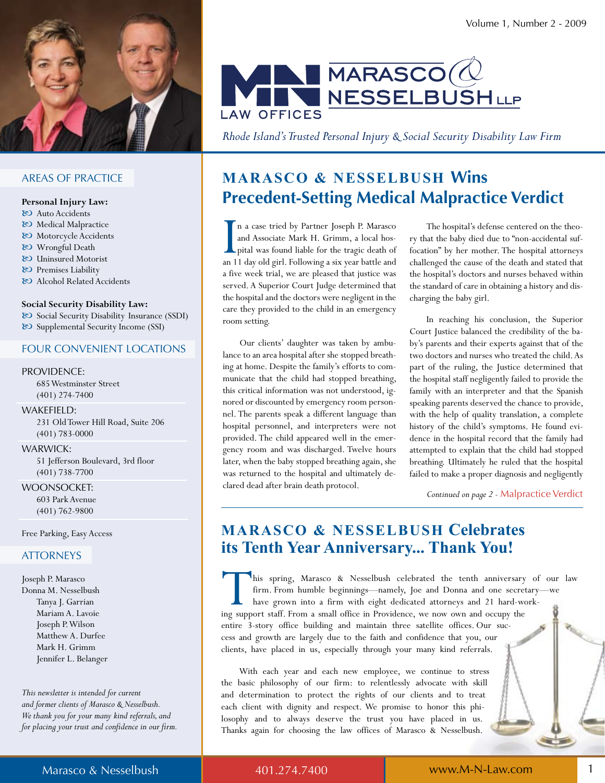

#### **AREAS OF PRACTICE**

#### Personal Injury Law:

- & Auto Accidents
- & Medical Malpractice
- & Motorcycle Accidents
- 80 Wrongful Death
- & Uninsured Motorist
- & Premises Liability
- & Alcohol Related Accidents

#### Social Security Disability Law:

& Social Security Disability Insurance (SSDI) & Supplemental Security Income (SSI)

#### **FOUR CONVENIENT LOCATIONS**

#### PROVIDENCE:

685 Westminster Street  $(401)$  274-7400

#### WAKEFIELD:

231 Old Tower Hill Road, Suite 206  $(401) 783 - 0000$ 

#### **WARWICK:**

51 Jefferson Boulevard, 3rd floor  $(401) 738 - 7700$ 

#### **WOONSOCKET:**

603 Park Avenue  $(401) 762 - 9800$ 

Free Parking, Easy Access

#### **ATTORNEYS**

Joseph P. Marasco Donna M. Nesselbush Tanya J. Garrian Mariam A. Lavoie Joseph P. Wilson Matthew A. Durfee Mark H. Grimm Jennifer L. Belanger

This newsletter is intended for current and former clients of Marasco & Nesselbush. We thank you for your many kind referrals, and for placing your trust and confidence in our firm.



Rhode Island's Trusted Personal Injury & Social Security Disability Law Firm

### **MARASCO & NESSELBUSH Wins Precedent-Setting Medical Malpractice Verdict**

n a case tried by Partner Joseph P. Marasco and Associate Mark H. Grimm, a local hospital was found liable for the tragic death of an 11 day old girl. Following a six year battle and a five week trial, we are pleased that justice was served. A Superior Court Judge determined that the hospital and the doctors were negligent in the care they provided to the child in an emergency room setting.

Our clients' daughter was taken by ambulance to an area hospital after she stopped breathing at home. Despite the family's efforts to communicate that the child had stopped breathing, this critical information was not understood, ignored or discounted by emergency room personnel. The parents speak a different language than hospital personnel, and interpreters were not provided. The child appeared well in the emergency room and was discharged. Twelve hours later, when the baby stopped breathing again, she was returned to the hospital and ultimately declared dead after brain death protocol.

The hospital's defense centered on the theory that the baby died due to "non-accidental suffocation" by her mother. The hospital attorneys challenged the cause of the death and stated that the hospital's doctors and nurses behaved within the standard of care in obtaining a history and discharging the baby girl.

In reaching his conclusion, the Superior Court Justice balanced the credibility of the baby's parents and their experts against that of the two doctors and nurses who treated the child. As part of the ruling, the Justice determined that the hospital staff negligently failed to provide the family with an interpreter and that the Spanish speaking parents deserved the chance to provide, with the help of quality translation, a complete history of the child's symptoms. He found evidence in the hospital record that the family had attempted to explain that the child had stopped breathing. Ultimately he ruled that the hospital failed to make a proper diagnosis and negligently

Continued on page 2 - Malpractice Verdict

### **MARASCO & NESSELBUSH Celebrates** its Tenth Year Anniversary... Thank You!

his spring, Marasco & Nesselbush celebrated the tenth anniversary of our law firm. From humble beginnings-namely, Joe and Donna and one secretaryhave grown into a firm with eight dedicated attorneys and 21 hard-working support staff. From a small office in Providence, we now own and occupy the entire 3-story office building and maintain three satellite offices. Our success and growth are largely due to the faith and confidence that you, our clients, have placed in us, especially through your many kind referrals.

With each year and each new employee, we continue to stress the basic philosophy of our firm: to relentlessly advocate with skill and determination to protect the rights of our clients and to treat each client with dignity and respect. We promise to honor this philosophy and to always deserve the trust you have placed in us. Thanks again for choosing the law offices of Marasco & Nesselbush.

401.274.7400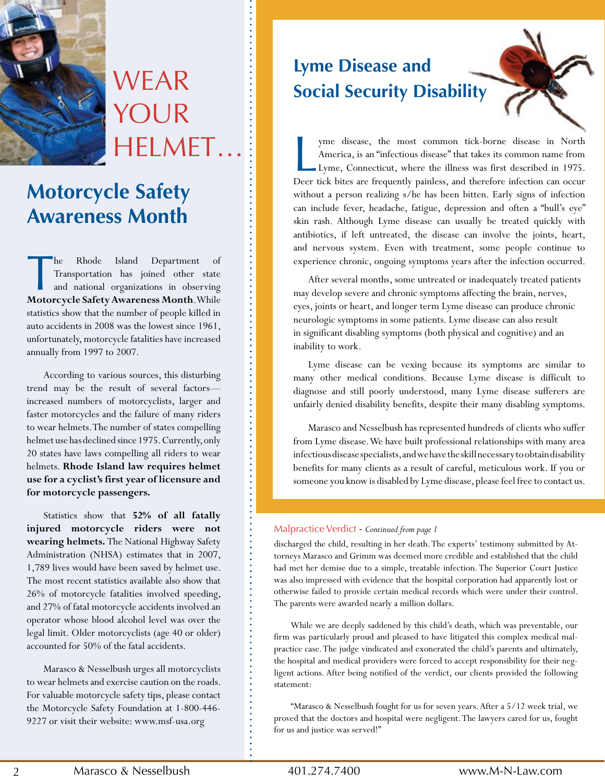

# **WEAR** YOUR helMet…

# **Motorcycle Safety Awareness Month**

The Rhode Island Department of Transportation has joined other state and national organizations in observing Motorcycle Safety Awareness Month.While he Rhode Island Department of Transportation has joined other state and national organizations in observing statistics show that the number of people killed in auto accidents in 2008 was the lowest since 1961, unfortunately, motorcycle fatalities have increased annually from 1997 to 2007.

According to various sources, this disturbing trend may be the result of several factors increased numbers of motorcyclists, larger and faster motorcycles and the failure of many riders to wear helmets. The number of states compelling helmet use has declined since 1975. Currently, only 20 states have laws compelling all riders to wear helmets. **Rhode Island law requires helmet use for a cyclist's first year of licensure and for motorcycle passengers.**

Statistics show that 52% of all fatally **injured motorcycle riders were not wearing helmets.** The National Highway Safety Administration (NHSA) estimates that in 2007, 1,789 lives would have been saved by helmet use. The most recent statistics available also show that 26% of motorcycle fatalities involved speeding, and 27% of fatal motorcycle accidents involved an operator whose blood alcohol level was over the legal limit. Older motorcyclists (age 40 or older) accounted for 50% of the fatal accidents.

Marasco & Nesselbush urges all motorcyclists to wear helmets and exercise caution on the roads. For valuable motorcycle safety tips, please contact the Motorcycle Safety Foundation at 1-800-446-9227 or visit their website: www.msf-usa.org

# **Lyme Disease and Social Security Disability**

yme disease, the most common tick-borne disease in North<br>America, is an "infectious disease" that takes its common name from<br>Lyme, Connecticut, where the illness was first described in 1975.<br>Deer tick bites are frequently yme disease, the most common tick-borne disease in North America, is an "infectious disease" that takes its common name from Lyme, Connecticut, where the illness was first described in 1975. without a person realizing s/he has been bitten. Early signs of infection can include fever, headache, fatigue, depression and often a "bull's eye" skin rash. Although Lyme disease can usually be treated quickly with antibiotics, if left untreated, the disease can involve the joints, heart, and nervous system. Even with treatment, some people continue to experience chronic, ongoing symptoms years after the infection occurred.

After several months, some untreated or inadequately treated patients may develop severe and chronic symptoms affecting the brain, nerves, eyes, joints or heart, and longer term Lyme disease can produce chronic neurologic symptoms in some patients. Lyme disease can also result in significant disabling symptoms (both physical and cognitive) and an inability to work.

Lyme disease can be vexing because its symptoms are similar to many other medical conditions. Because Lyme disease is difficult to diagnose and still poorly understood, many Lyme disease sufferers are unfairly denied disability benefits, despite their many disabling symptoms.

Marasco and Nesselbush has represented hundreds of clients who suffer from Lyme disease. We have built professional relationships with many area infectious disease specialists, and we have the skill necessary to obtain disability benefits for many clients as a result of careful, meticulous work. If you or someone you know is disabled by Lyme disease, please feel free to contact us.

#### Malpractice Verdict - *Continued from page 1*

discharged the child, resulting in her death. The experts' testimony submitted by Attorneys Marasco and Grimm was deemed more credible and established that the child had met her demise due to a simple, treatable infection. The Superior Court Justice was also impressed with evidence that the hospital corporation had apparently lost or otherwise failed to provide certain medical records which were under their control. The parents were awarded nearly a million dollars.

While we are deeply saddened by this child's death, which was preventable, our firm was particularly proud and pleased to have litigated this complex medical malpractice case. The judge vindicated and exonerated the child's parents and ultimately, the hospital and medical providers were forced to accept responsibility for their negligent actions. After being notified of the verdict, our clients provided the following statement:

"Marasco & Nesselbush fought for us for seven years. After a 5/12 week trial, we proved that the doctors and hospital were negligent. The lawyers cared for us, fought for us and justice was served!"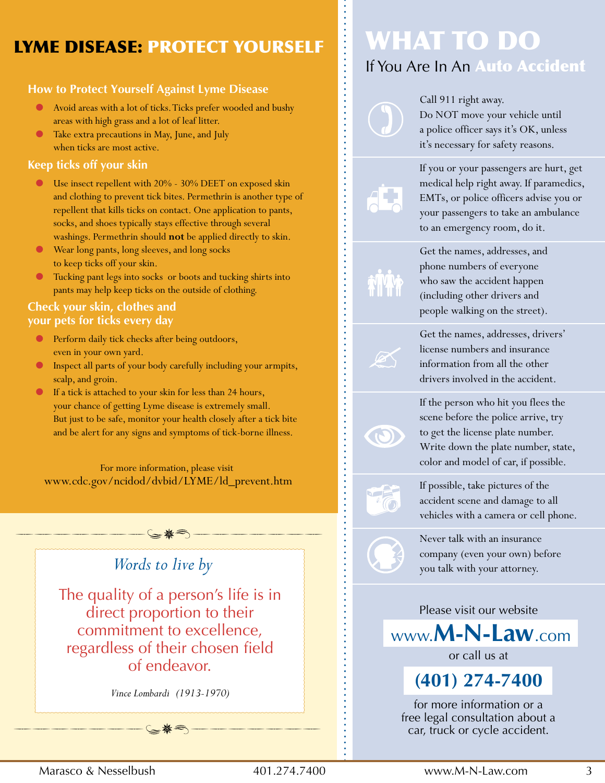## LYME DISEaSE: PRotECt YoURSELF

#### **How to Protect Yourself Against Lyme Disease**

- Avoid areas with a lot of ticks. Ticks prefer wooded and bushy areas with high grass and a lot of leaf litter.
- Take extra precautions in May, June, and July when ticks are most active.

#### **Keep ticks off your skin**

- Use insect repellent with  $20\%$   $30\%$  DEET on exposed skin and clothing to prevent tick bites. Permethrin is another type of repellent that kills ticks on contact. One application to pants, socks, and shoes typically stays effective through several washings. Permethrin should **not** be applied directly to skin.
- Wear long pants, long sleeves, and long socks to keep ticks off your skin.
- Tucking pant legs into socks or boots and tucking shirts into pants may help keep ticks on the outside of clothing.

#### **Check your skin, clothes and your pets for ticks every day**

- Perform daily tick checks after being outdoors, even in your own yard.
- Inspect all parts of your body carefully including your armpits, scalp, and groin.
- If a tick is attached to your skin for less than 24 hours, your chance of getting Lyme disease is extremely small. But just to be safe, monitor your health closely after a tick bite and be alert for any signs and symptoms of tick-borne illness.

For more information, please visit www.cdc.gov/ncidod/dvbid/LYME/ld\_prevent.htm

ssssssssssssss



*Vince Lombardi (1913-1970)*

ssssssssssssss

# What to Do If You Are In An Auto Accident

Call 911 right away. Do NOT move your vehicle until a police officer says it's OK, unless it's necessary for safety reasons.



If you or your passengers are hurt, get medical help right away. If paramedics, EMTs, or police officers advise you or your passengers to take an ambulance to an emergency room, do it.

Get the names, addresses, and phone numbers of everyone who saw the accident happen (including other drivers and people walking on the street).

Get the names, addresses, drivers' license numbers and insurance information from all the other drivers involved in the accident.

If the person who hit you flees the scene before the police arrive, try to get the license plate number. Write down the plate number, state, color and model of car, if possible.



If possible, take pictures of the accident scene and damage to all vehicles with a camera or cell phone.



Never talk with an insurance company (even your own) before you talk with your attorney.

Please visit our website

www.**M-n-Law**.com

or call us at

**(401) 274-7400** 

for more information or a free legal consultation about a car, truck or cycle accident.

Marasco & Nesselbush 401.274.7400 www.M-N-law.com 3